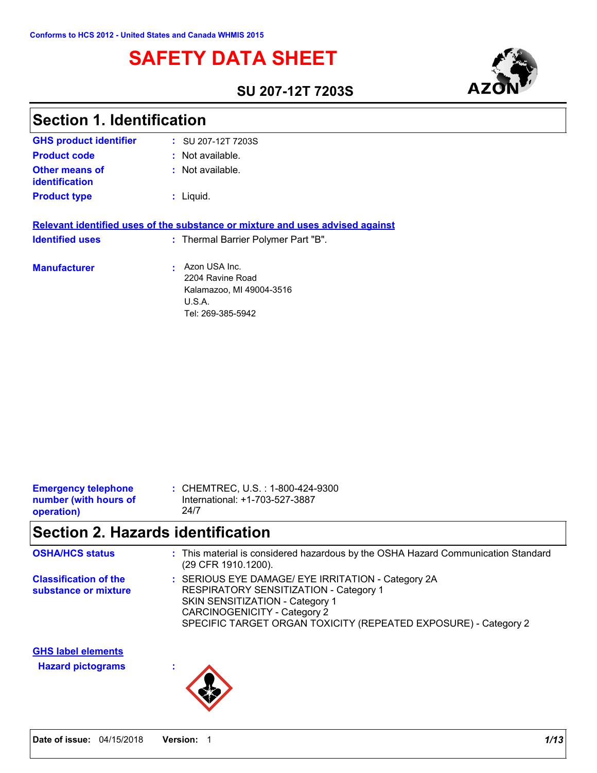# **SAFETY DATA SHEET**

### **SU 207-12T 7203S**



| <b>Section 1. Identification</b>        |                                                                                                                      |
|-----------------------------------------|----------------------------------------------------------------------------------------------------------------------|
| <b>GHS product identifier</b>           | $\frac{1}{2}$ SU 207-12T 7203S                                                                                       |
| <b>Product code</b>                     | : Not available.                                                                                                     |
| Other means of<br><b>identification</b> | $:$ Not available.                                                                                                   |
| <b>Product type</b>                     | $:$ Liquid.                                                                                                          |
| <b>Identified uses</b>                  | Relevant identified uses of the substance or mixture and uses advised against<br>: Thermal Barrier Polymer Part "B". |
| <b>Manufacturer</b>                     | Azon USA Inc.<br>2204 Ravine Road<br>Kalamazoo, MI 49004-3516<br>U.S.A.<br>Tel: 269-385-5942                         |

| : CHEMTREC, U.S. : 1-800-424-9300<br><b>Emergency telephone</b><br>International: +1-703-527-3887<br>number (with hours of |  |
|----------------------------------------------------------------------------------------------------------------------------|--|

# **Section 2. Hazards identification**

| <b>OSHA/HCS status</b>                                | : This material is considered hazardous by the OSHA Hazard Communication Standard<br>(29 CFR 1910.1200).                                                                                                                                  |
|-------------------------------------------------------|-------------------------------------------------------------------------------------------------------------------------------------------------------------------------------------------------------------------------------------------|
| <b>Classification of the</b><br>substance or mixture  | : SERIOUS EYE DAMAGE/ EYE IRRITATION - Category 2A<br>RESPIRATORY SENSITIZATION - Category 1<br>SKIN SENSITIZATION - Category 1<br><b>CARCINOGENICITY - Category 2</b><br>SPECIFIC TARGET ORGAN TOXICITY (REPEATED EXPOSURE) - Category 2 |
| <b>GHS label elements</b><br><b>Hazard pictograms</b> |                                                                                                                                                                                                                                           |

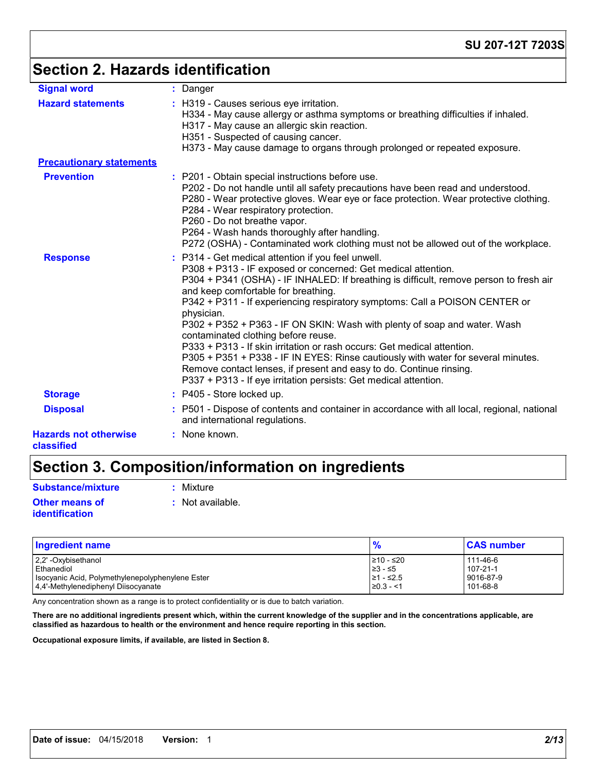# **Section 2. Hazards identification**

| <b>Signal word</b>                         | : Danger                                                                                                                                                                                                                                                                                                                                                                                                                                                                                                                                                                                                                                                                                                                                                                         |
|--------------------------------------------|----------------------------------------------------------------------------------------------------------------------------------------------------------------------------------------------------------------------------------------------------------------------------------------------------------------------------------------------------------------------------------------------------------------------------------------------------------------------------------------------------------------------------------------------------------------------------------------------------------------------------------------------------------------------------------------------------------------------------------------------------------------------------------|
| <b>Hazard statements</b>                   | : H319 - Causes serious eye irritation.<br>H334 - May cause allergy or asthma symptoms or breathing difficulties if inhaled.<br>H317 - May cause an allergic skin reaction.<br>H351 - Suspected of causing cancer.<br>H373 - May cause damage to organs through prolonged or repeated exposure.                                                                                                                                                                                                                                                                                                                                                                                                                                                                                  |
| <b>Precautionary statements</b>            |                                                                                                                                                                                                                                                                                                                                                                                                                                                                                                                                                                                                                                                                                                                                                                                  |
| <b>Prevention</b>                          | : P201 - Obtain special instructions before use.<br>P202 - Do not handle until all safety precautions have been read and understood.<br>P280 - Wear protective gloves. Wear eye or face protection. Wear protective clothing.<br>P284 - Wear respiratory protection.<br>P260 - Do not breathe vapor.<br>P264 - Wash hands thoroughly after handling.<br>P272 (OSHA) - Contaminated work clothing must not be allowed out of the workplace.                                                                                                                                                                                                                                                                                                                                       |
| <b>Response</b>                            | : P314 - Get medical attention if you feel unwell.<br>P308 + P313 - IF exposed or concerned: Get medical attention.<br>P304 + P341 (OSHA) - IF INHALED: If breathing is difficult, remove person to fresh air<br>and keep comfortable for breathing.<br>P342 + P311 - If experiencing respiratory symptoms: Call a POISON CENTER or<br>physician.<br>P302 + P352 + P363 - IF ON SKIN: Wash with plenty of soap and water. Wash<br>contaminated clothing before reuse.<br>P333 + P313 - If skin irritation or rash occurs: Get medical attention.<br>P305 + P351 + P338 - IF IN EYES: Rinse cautiously with water for several minutes.<br>Remove contact lenses, if present and easy to do. Continue rinsing.<br>P337 + P313 - If eye irritation persists: Get medical attention. |
| <b>Storage</b>                             | : P405 - Store locked up.                                                                                                                                                                                                                                                                                                                                                                                                                                                                                                                                                                                                                                                                                                                                                        |
| <b>Disposal</b>                            | : P501 - Dispose of contents and container in accordance with all local, regional, national<br>and international regulations.                                                                                                                                                                                                                                                                                                                                                                                                                                                                                                                                                                                                                                                    |
| <b>Hazards not otherwise</b><br>classified | : None known.                                                                                                                                                                                                                                                                                                                                                                                                                                                                                                                                                                                                                                                                                                                                                                    |

# **Section 3. Composition/information on ingredients**

| <b>Substance/mixture</b>                | : Mixture          |
|-----------------------------------------|--------------------|
| <b>Other means of</b><br>identification | $:$ Not available. |

| <b>Ingredient name</b>                           | $\frac{9}{6}$  | <b>CAS number</b> |
|--------------------------------------------------|----------------|-------------------|
| 2,2' -Oxybisethanol                              | ≥10 - ≤20      | 111-46-6          |
| Ethanediol                                       | $≥3 - ≤5$      | $107 - 21 - 1$    |
| Isocyanic Acid, Polymethylenepolyphenylene Ester | 21 - ≤2.5      | 9016-87-9         |
| 4.4'-Methylenediphenyl Diisocyanate              | $\geq 0.3 - 1$ | $101 - 68 - 8$    |

Any concentration shown as a range is to protect confidentiality or is due to batch variation.

**There are no additional ingredients present which, within the current knowledge of the supplier and in the concentrations applicable, are classified as hazardous to health or the environment and hence require reporting in this section.**

**Occupational exposure limits, if available, are listed in Section 8.**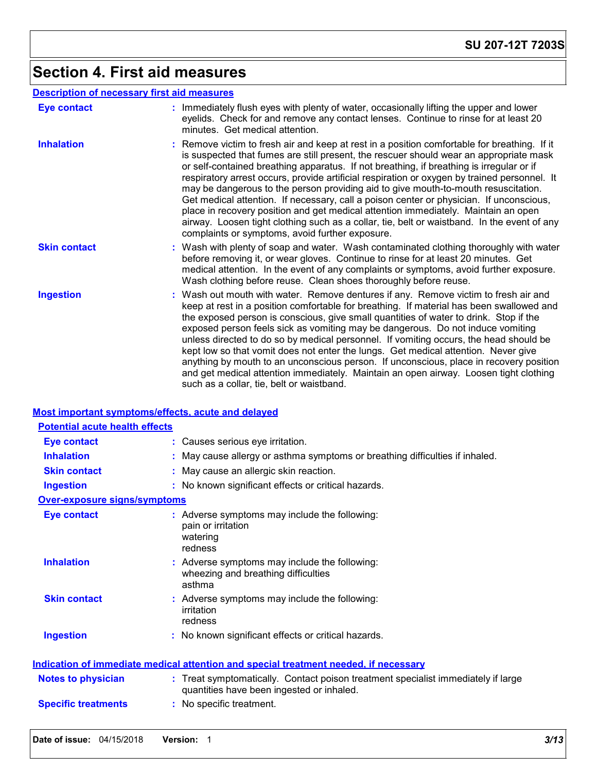# **Section 4. First aid measures**

|  | <b>Description of necessary first aid measures</b> |
|--|----------------------------------------------------|
|--|----------------------------------------------------|

| <b>Eye contact</b>  | : Immediately flush eyes with plenty of water, occasionally lifting the upper and lower<br>eyelids. Check for and remove any contact lenses. Continue to rinse for at least 20<br>minutes. Get medical attention.                                                                                                                                                                                                                                                                                                                                                                                                                                                                                                                                                                                           |
|---------------------|-------------------------------------------------------------------------------------------------------------------------------------------------------------------------------------------------------------------------------------------------------------------------------------------------------------------------------------------------------------------------------------------------------------------------------------------------------------------------------------------------------------------------------------------------------------------------------------------------------------------------------------------------------------------------------------------------------------------------------------------------------------------------------------------------------------|
| <b>Inhalation</b>   | : Remove victim to fresh air and keep at rest in a position comfortable for breathing. If it<br>is suspected that fumes are still present, the rescuer should wear an appropriate mask<br>or self-contained breathing apparatus. If not breathing, if breathing is irregular or if<br>respiratory arrest occurs, provide artificial respiration or oxygen by trained personnel. It<br>may be dangerous to the person providing aid to give mouth-to-mouth resuscitation.<br>Get medical attention. If necessary, call a poison center or physician. If unconscious,<br>place in recovery position and get medical attention immediately. Maintain an open<br>airway. Loosen tight clothing such as a collar, tie, belt or waistband. In the event of any<br>complaints or symptoms, avoid further exposure. |
| <b>Skin contact</b> | : Wash with plenty of soap and water. Wash contaminated clothing thoroughly with water<br>before removing it, or wear gloves. Continue to rinse for at least 20 minutes. Get<br>medical attention. In the event of any complaints or symptoms, avoid further exposure.<br>Wash clothing before reuse. Clean shoes thoroughly before reuse.                                                                                                                                                                                                                                                                                                                                                                                                                                                                  |
| <b>Ingestion</b>    | : Wash out mouth with water. Remove dentures if any. Remove victim to fresh air and<br>keep at rest in a position comfortable for breathing. If material has been swallowed and<br>the exposed person is conscious, give small quantities of water to drink. Stop if the<br>exposed person feels sick as vomiting may be dangerous. Do not induce vomiting<br>unless directed to do so by medical personnel. If vomiting occurs, the head should be<br>kept low so that vomit does not enter the lungs. Get medical attention. Never give<br>anything by mouth to an unconscious person. If unconscious, place in recovery position<br>and get medical attention immediately. Maintain an open airway. Loosen tight clothing<br>such as a collar, tie, belt or waistband.                                   |

### **Most important symptoms/effects, acute and delayed**

| <b>Potential acute health effects</b> |                                                                                                                                |
|---------------------------------------|--------------------------------------------------------------------------------------------------------------------------------|
| <b>Eye contact</b>                    | : Causes serious eye irritation.                                                                                               |
| <b>Inhalation</b>                     | May cause allergy or asthma symptoms or breathing difficulties if inhaled.                                                     |
| <b>Skin contact</b>                   | May cause an allergic skin reaction.                                                                                           |
| <b>Ingestion</b>                      | : No known significant effects or critical hazards.                                                                            |
| <b>Over-exposure signs/symptoms</b>   |                                                                                                                                |
| <b>Eye contact</b>                    | : Adverse symptoms may include the following:<br>pain or irritation<br>watering<br>redness                                     |
| <b>Inhalation</b>                     | : Adverse symptoms may include the following:<br>wheezing and breathing difficulties<br>asthma                                 |
| <b>Skin contact</b>                   | : Adverse symptoms may include the following:<br>irritation<br>redness                                                         |
| <b>Ingestion</b>                      | : No known significant effects or critical hazards.                                                                            |
|                                       | <u>Indication of immediate medical attention and special treatment needed, if necessary</u>                                    |
| <b>Notes to physician</b>             | : Treat symptomatically. Contact poison treatment specialist immediately if large<br>quantities have been ingested or inhaled. |
| <b>Specific treatments</b>            | No specific treatment.                                                                                                         |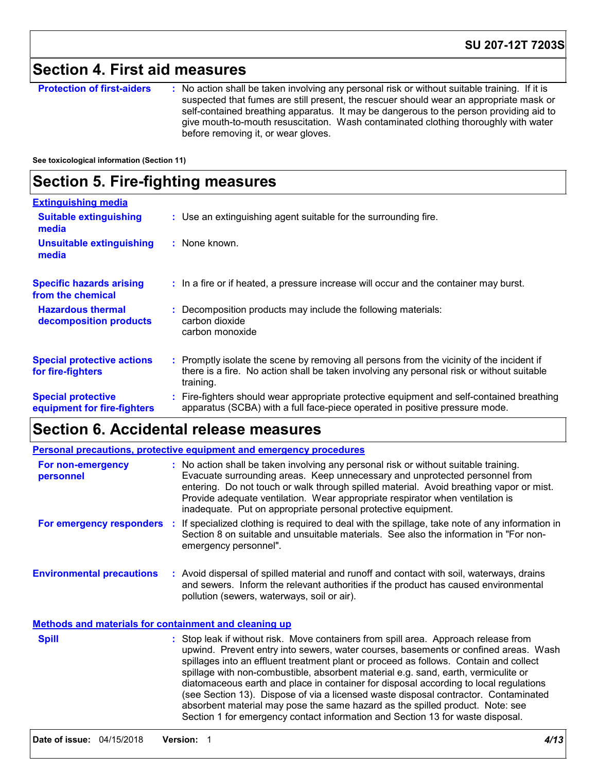## **Section 4. First aid measures**

**Protection of first-aiders** : No action shall be taken involving any personal risk or without suitable training. If it is suspected that fumes are still present, the rescuer should wear an appropriate mask or self-contained breathing apparatus. It may be dangerous to the person providing aid to give mouth-to-mouth resuscitation. Wash contaminated clothing thoroughly with water before removing it, or wear gloves.

**See toxicological information (Section 11)**

### **Section 5. Fire-fighting measures**

| <b>Extinguishing media</b>                               |                                                                                                                                                                                                     |
|----------------------------------------------------------|-----------------------------------------------------------------------------------------------------------------------------------------------------------------------------------------------------|
| <b>Suitable extinguishing</b><br>media                   | : Use an extinguishing agent suitable for the surrounding fire.                                                                                                                                     |
| <b>Unsuitable extinguishing</b><br>media                 | : None known.                                                                                                                                                                                       |
| <b>Specific hazards arising</b><br>from the chemical     | : In a fire or if heated, a pressure increase will occur and the container may burst.                                                                                                               |
| <b>Hazardous thermal</b><br>decomposition products       | Decomposition products may include the following materials:<br>carbon dioxide<br>carbon monoxide                                                                                                    |
| <b>Special protective actions</b><br>for fire-fighters   | : Promptly isolate the scene by removing all persons from the vicinity of the incident if<br>there is a fire. No action shall be taken involving any personal risk or without suitable<br>training. |
| <b>Special protective</b><br>equipment for fire-fighters | : Fire-fighters should wear appropriate protective equipment and self-contained breathing<br>apparatus (SCBA) with a full face-piece operated in positive pressure mode.                            |

### **Section 6. Accidental release measures**

|                                                              | <b>Personal precautions, protective equipment and emergency procedures</b>                                                                                                                                                                                                                                                                                                                                       |
|--------------------------------------------------------------|------------------------------------------------------------------------------------------------------------------------------------------------------------------------------------------------------------------------------------------------------------------------------------------------------------------------------------------------------------------------------------------------------------------|
| For non-emergency<br>personnel                               | : No action shall be taken involving any personal risk or without suitable training.<br>Evacuate surrounding areas. Keep unnecessary and unprotected personnel from<br>entering. Do not touch or walk through spilled material. Avoid breathing vapor or mist.<br>Provide adequate ventilation. Wear appropriate respirator when ventilation is<br>inadequate. Put on appropriate personal protective equipment. |
| For emergency responders                                     | : If specialized clothing is required to deal with the spillage, take note of any information in<br>Section 8 on suitable and unsuitable materials. See also the information in "For non-<br>emergency personnel".                                                                                                                                                                                               |
| <b>Environmental precautions</b>                             | : Avoid dispersal of spilled material and runoff and contact with soil, waterways, drains<br>and sewers. Inform the relevant authorities if the product has caused environmental<br>pollution (sewers, waterways, soil or air).                                                                                                                                                                                  |
| <b>Methods and materials for containment and cleaning up</b> |                                                                                                                                                                                                                                                                                                                                                                                                                  |

| <b>Spill</b> | : Stop leak if without risk. Move containers from spill area. Approach release from<br>upwind. Prevent entry into sewers, water courses, basements or confined areas. Wash<br>spillages into an effluent treatment plant or proceed as follows. Contain and collect<br>spillage with non-combustible, absorbent material e.g. sand, earth, vermiculite or<br>diatomaceous earth and place in container for disposal according to local regulations<br>(see Section 13). Dispose of via a licensed waste disposal contractor. Contaminated<br>absorbent material may pose the same hazard as the spilled product. Note: see |
|--------------|----------------------------------------------------------------------------------------------------------------------------------------------------------------------------------------------------------------------------------------------------------------------------------------------------------------------------------------------------------------------------------------------------------------------------------------------------------------------------------------------------------------------------------------------------------------------------------------------------------------------------|
|              | Section 1 for emergency contact information and Section 13 for waste disposal.                                                                                                                                                                                                                                                                                                                                                                                                                                                                                                                                             |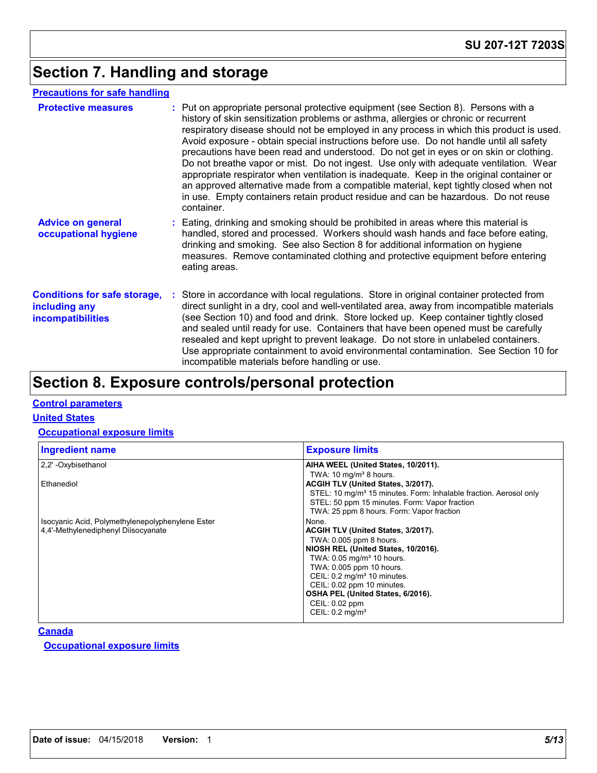## **Section 7. Handling and storage**

### **Precautions for safe handling**

| <b>Protective measures</b>                                                       | : Put on appropriate personal protective equipment (see Section 8). Persons with a<br>history of skin sensitization problems or asthma, allergies or chronic or recurrent<br>respiratory disease should not be employed in any process in which this product is used.<br>Avoid exposure - obtain special instructions before use. Do not handle until all safety<br>precautions have been read and understood. Do not get in eyes or on skin or clothing.<br>Do not breathe vapor or mist. Do not ingest. Use only with adequate ventilation. Wear<br>appropriate respirator when ventilation is inadequate. Keep in the original container or<br>an approved alternative made from a compatible material, kept tightly closed when not<br>in use. Empty containers retain product residue and can be hazardous. Do not reuse<br>container. |
|----------------------------------------------------------------------------------|---------------------------------------------------------------------------------------------------------------------------------------------------------------------------------------------------------------------------------------------------------------------------------------------------------------------------------------------------------------------------------------------------------------------------------------------------------------------------------------------------------------------------------------------------------------------------------------------------------------------------------------------------------------------------------------------------------------------------------------------------------------------------------------------------------------------------------------------|
| <b>Advice on general</b><br>occupational hygiene                                 | : Eating, drinking and smoking should be prohibited in areas where this material is<br>handled, stored and processed. Workers should wash hands and face before eating,<br>drinking and smoking. See also Section 8 for additional information on hygiene<br>measures. Remove contaminated clothing and protective equipment before entering<br>eating areas.                                                                                                                                                                                                                                                                                                                                                                                                                                                                               |
| <b>Conditions for safe storage,</b><br>including any<br><i>incompatibilities</i> | : Store in accordance with local regulations. Store in original container protected from<br>direct sunlight in a dry, cool and well-ventilated area, away from incompatible materials<br>(see Section 10) and food and drink. Store locked up. Keep container tightly closed<br>and sealed until ready for use. Containers that have been opened must be carefully<br>resealed and kept upright to prevent leakage. Do not store in unlabeled containers.<br>Use appropriate containment to avoid environmental contamination. See Section 10 for<br>incompatible materials before handling or use.                                                                                                                                                                                                                                         |

### **Section 8. Exposure controls/personal protection**

#### **Control parameters**

#### **United States**

#### **Occupational exposure limits**

| <b>Exposure limits</b>                                                        |
|-------------------------------------------------------------------------------|
| AIHA WEEL (United States, 10/2011).                                           |
| TWA: $10 \text{ mg/m}^3$ 8 hours.                                             |
| ACGIH TLV (United States, 3/2017).                                            |
| STEL: 10 mg/m <sup>3</sup> 15 minutes. Form: Inhalable fraction. Aerosol only |
| STEL: 50 ppm 15 minutes. Form: Vapor fraction                                 |
| TWA: 25 ppm 8 hours. Form: Vapor fraction                                     |
| None.                                                                         |
| ACGIH TLV (United States, 3/2017).                                            |
| TWA: 0.005 ppm 8 hours.                                                       |
| NIOSH REL (United States, 10/2016).                                           |
| TWA: 0.05 mg/m <sup>3</sup> 10 hours.                                         |
| TWA: 0.005 ppm 10 hours.                                                      |
| CEIL: 0.2 mg/m <sup>3</sup> 10 minutes.                                       |
| CEIL: 0.02 ppm 10 minutes.                                                    |
| OSHA PEL (United States, 6/2016).                                             |
| CEIL: 0.02 ppm                                                                |
| CEIL: $0.2 \text{ mg/m}^3$                                                    |
|                                                                               |

#### **Canada**

**Occupational exposure limits**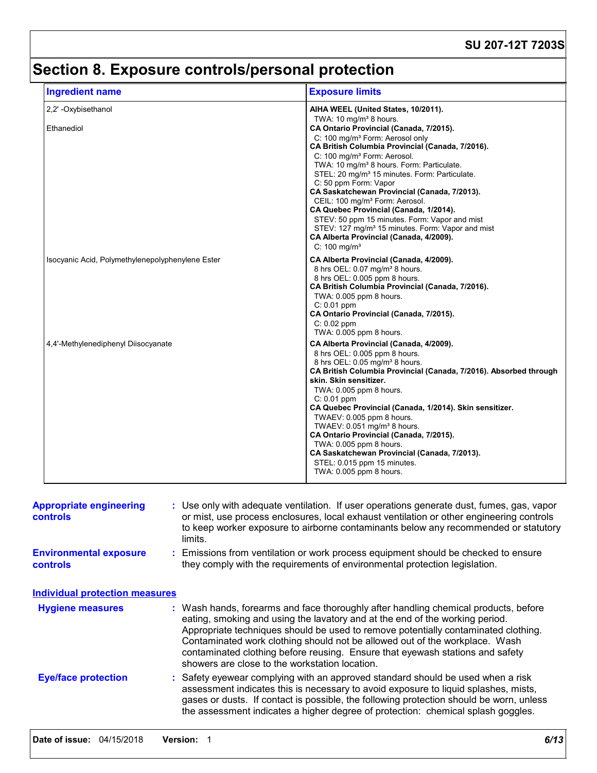# **Section 8. Exposure controls/personal protection**

| <b>Ingredient name</b>                           | <b>Exposure limits</b>                                                                                                                                                                                                                                                                                                                                                                                                                                                                                                                                                                                                              |
|--------------------------------------------------|-------------------------------------------------------------------------------------------------------------------------------------------------------------------------------------------------------------------------------------------------------------------------------------------------------------------------------------------------------------------------------------------------------------------------------------------------------------------------------------------------------------------------------------------------------------------------------------------------------------------------------------|
| 2.2' - Oxybisethanol                             | AIHA WEEL (United States, 10/2011).                                                                                                                                                                                                                                                                                                                                                                                                                                                                                                                                                                                                 |
| Ethanediol                                       | TWA: 10 mg/m <sup>3</sup> 8 hours.<br>CA Ontario Provincial (Canada, 7/2015).<br>C: 100 mg/m <sup>3</sup> Form: Aerosol only<br>CA British Columbia Provincial (Canada, 7/2016).<br>C: 100 mg/m <sup>3</sup> Form: Aerosol.<br>TWA: 10 mg/m <sup>3</sup> 8 hours. Form: Particulate.<br>STEL: 20 mg/m <sup>3</sup> 15 minutes. Form: Particulate.<br>C: 50 ppm Form: Vapor<br>CA Saskatchewan Provincial (Canada, 7/2013).<br>CEIL: 100 mg/m <sup>3</sup> Form: Aerosol.<br>CA Quebec Provincial (Canada, 1/2014).<br>STEV: 50 ppm 15 minutes. Form: Vapor and mist<br>STEV: 127 mg/m <sup>3</sup> 15 minutes. Form: Vapor and mist |
|                                                  | CA Alberta Provincial (Canada, 4/2009).<br>$C: 100$ mg/m <sup>3</sup>                                                                                                                                                                                                                                                                                                                                                                                                                                                                                                                                                               |
| Isocyanic Acid, Polymethylenepolyphenylene Ester | CA Alberta Provincial (Canada, 4/2009).<br>8 hrs OEL: 0.07 mg/m <sup>3</sup> 8 hours.<br>8 hrs OEL: 0.005 ppm 8 hours.<br>CA British Columbia Provincial (Canada, 7/2016).<br>TWA: 0.005 ppm 8 hours.<br>$C: 0.01$ ppm<br>CA Ontario Provincial (Canada, 7/2015).<br>$C: 0.02$ ppm<br>TWA: 0.005 ppm 8 hours.                                                                                                                                                                                                                                                                                                                       |
| 4.4'-Methylenediphenyl Diisocyanate              | CA Alberta Provincial (Canada, 4/2009).<br>8 hrs OEL: 0.005 ppm 8 hours.<br>8 hrs OEL: 0.05 mg/m <sup>3</sup> 8 hours.<br>CA British Columbia Provincial (Canada, 7/2016). Absorbed through<br>skin. Skin sensitizer.<br>TWA: 0.005 ppm 8 hours.<br>$C: 0.01$ ppm<br>CA Quebec Provincial (Canada, 1/2014). Skin sensitizer.<br>TWAEV: 0.005 ppm 8 hours.<br>TWAEV: 0.051 mg/m <sup>3</sup> 8 hours.<br>CA Ontario Provincial (Canada, 7/2015).<br>TWA: 0.005 ppm 8 hours.<br>CA Saskatchewan Provincial (Canada, 7/2013).<br>STEL: 0.015 ppm 15 minutes.<br>TWA: 0.005 ppm 8 hours.                                                |

| <b>Appropriate engineering</b><br><b>controls</b> | : Use only with adequate ventilation. If user operations generate dust, fumes, gas, vapor<br>or mist, use process enclosures, local exhaust ventilation or other engineering controls<br>to keep worker exposure to airborne contaminants below any recommended or statutory<br>limits.                                                                                                                                                                                     |
|---------------------------------------------------|-----------------------------------------------------------------------------------------------------------------------------------------------------------------------------------------------------------------------------------------------------------------------------------------------------------------------------------------------------------------------------------------------------------------------------------------------------------------------------|
| <b>Environmental exposure</b><br><b>controls</b>  | : Emissions from ventilation or work process equipment should be checked to ensure<br>they comply with the requirements of environmental protection legislation.                                                                                                                                                                                                                                                                                                            |
| <b>Individual protection measures</b>             |                                                                                                                                                                                                                                                                                                                                                                                                                                                                             |
| <b>Hygiene measures</b>                           | : Wash hands, forearms and face thoroughly after handling chemical products, before<br>eating, smoking and using the lavatory and at the end of the working period.<br>Appropriate techniques should be used to remove potentially contaminated clothing.<br>Contaminated work clothing should not be allowed out of the workplace. Wash<br>contaminated clothing before reusing. Ensure that eyewash stations and safety<br>showers are close to the workstation location. |
| <b>Eye/face protection</b>                        | : Safety eyewear complying with an approved standard should be used when a risk<br>assessment indicates this is necessary to avoid exposure to liquid splashes, mists,<br>gases or dusts. If contact is possible, the following protection should be worn, unless<br>the assessment indicates a higher degree of protection: chemical splash goggles.                                                                                                                       |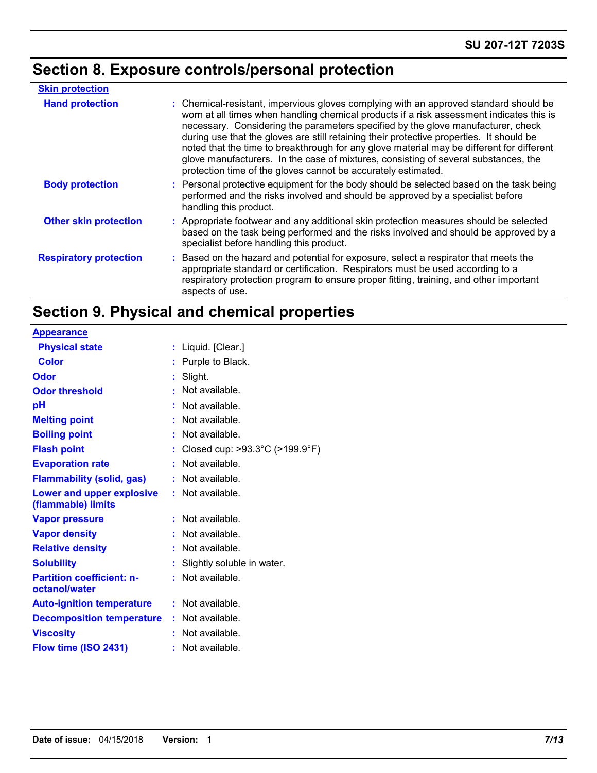# **Section 8. Exposure controls/personal protection**

| <b>Skin protection</b>        |                                                                                                                                                                                                                                                                                                                                                                                                                                                                                                                                                                                                                        |
|-------------------------------|------------------------------------------------------------------------------------------------------------------------------------------------------------------------------------------------------------------------------------------------------------------------------------------------------------------------------------------------------------------------------------------------------------------------------------------------------------------------------------------------------------------------------------------------------------------------------------------------------------------------|
| <b>Hand protection</b>        | : Chemical-resistant, impervious gloves complying with an approved standard should be<br>worn at all times when handling chemical products if a risk assessment indicates this is<br>necessary. Considering the parameters specified by the glove manufacturer, check<br>during use that the gloves are still retaining their protective properties. It should be<br>noted that the time to breakthrough for any glove material may be different for different<br>glove manufacturers. In the case of mixtures, consisting of several substances, the<br>protection time of the gloves cannot be accurately estimated. |
| <b>Body protection</b>        | : Personal protective equipment for the body should be selected based on the task being<br>performed and the risks involved and should be approved by a specialist before<br>handling this product.                                                                                                                                                                                                                                                                                                                                                                                                                    |
| <b>Other skin protection</b>  | : Appropriate footwear and any additional skin protection measures should be selected<br>based on the task being performed and the risks involved and should be approved by a<br>specialist before handling this product.                                                                                                                                                                                                                                                                                                                                                                                              |
| <b>Respiratory protection</b> | : Based on the hazard and potential for exposure, select a respirator that meets the<br>appropriate standard or certification. Respirators must be used according to a<br>respiratory protection program to ensure proper fitting, training, and other important<br>aspects of use.                                                                                                                                                                                                                                                                                                                                    |

# **Section 9. Physical and chemical properties**

| : Liquid. [Clear.]                                    |
|-------------------------------------------------------|
| : Purple to Black.                                    |
| : Slight.                                             |
| Not available.                                        |
| $:$ Not available.                                    |
| : Not available.                                      |
| : Not available.                                      |
| : Closed cup: $>93.3^{\circ}$ C ( $>199.9^{\circ}$ F) |
| : Not available.                                      |
| $:$ Not available.                                    |
| $:$ Not available.                                    |
|                                                       |
| Not available.                                        |
| Not available.                                        |
| Not available.                                        |
| Slightly soluble in water.                            |
| $:$ Not available.                                    |
|                                                       |
| $:$ Not available.                                    |
| : Not available.                                      |
| $:$ Not available.                                    |
| $:$ Not available.                                    |
|                                                       |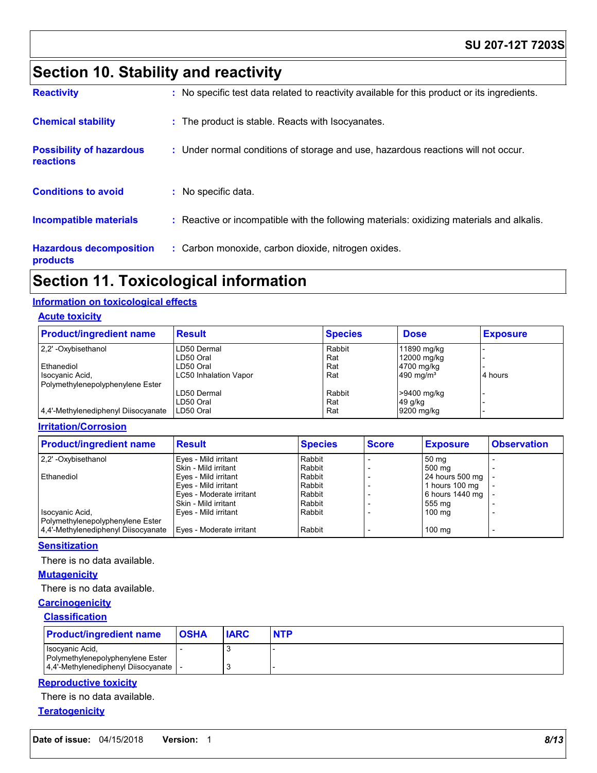### **SU 207-12T 7203S**

## **Section 10. Stability and reactivity**

| <b>Reactivity</b>                            | : No specific test data related to reactivity available for this product or its ingredients. |
|----------------------------------------------|----------------------------------------------------------------------------------------------|
| <b>Chemical stability</b>                    | : The product is stable. Reacts with Isocyanates.                                            |
| <b>Possibility of hazardous</b><br>reactions | : Under normal conditions of storage and use, hazardous reactions will not occur.            |
| <b>Conditions to avoid</b>                   | : No specific data.                                                                          |
| <b>Incompatible materials</b>                | : Reactive or incompatible with the following materials: oxidizing materials and alkalis.    |
| <b>Hazardous decomposition</b><br>products   | : Carbon monoxide, carbon dioxide, nitrogen oxides.                                          |

### **Section 11. Toxicological information**

### **Information on toxicological effects**

#### **Acute toxicity**

| <b>Product/ingredient name</b>      | <b>Result</b>                | <b>Species</b> | <b>Dose</b>           | <b>Exposure</b> |
|-------------------------------------|------------------------------|----------------|-----------------------|-----------------|
| 2,2' -Oxybisethanol                 | LD50 Dermal                  | Rabbit         | 11890 mg/kg           |                 |
|                                     | LD50 Oral                    | Rat            | 12000 mg/kg           |                 |
| Ethanediol                          | LD50 Oral                    | Rat            | 4700 mg/kg            |                 |
| Isocyanic Acid,                     | <b>LC50 Inhalation Vapor</b> | Rat            | 490 mg/m <sup>3</sup> | 4 hours         |
| Polymethylenepolyphenylene Ester    |                              |                |                       |                 |
|                                     | LD50 Dermal                  | Rabbit         | >9400 mg/kg           |                 |
|                                     | LD50 Oral                    | Rat            | 49 g/kg               |                 |
| 4.4'-Methylenediphenyl Diisocyanate | LD50 Oral                    | Rat            | 9200 mg/kg            |                 |

#### **Irritation/Corrosion**

| <b>Product/ingredient name</b>      | <b>Result</b>            | <b>Species</b> | <b>Score</b> | <b>Exposure</b>   | <b>Observation</b> |
|-------------------------------------|--------------------------|----------------|--------------|-------------------|--------------------|
| 2.2' - Oxybisethanol                | Eyes - Mild irritant     | Rabbit         |              | 50 mg             |                    |
|                                     | Skin - Mild irritant     | Rabbit         |              | 500 mg            |                    |
| Ethanediol                          | Eyes - Mild irritant     | Rabbit         |              | 24 hours 500 mg   |                    |
|                                     | Eyes - Mild irritant     | Rabbit         |              | 1 hours 100 mg    |                    |
|                                     | Eyes - Moderate irritant | Rabbit         |              | $6$ hours 1440 mg |                    |
|                                     | Skin - Mild irritant     | Rabbit         |              | 555 mg            |                    |
| Isocyanic Acid,                     | Eyes - Mild irritant     | Rabbit         |              | 100 mg            |                    |
| Polymethylenepolyphenylene Ester    |                          |                |              |                   |                    |
| 4.4'-Methylenediphenyl Diisocyanate | Eyes - Moderate irritant | Rabbit         |              | $100 \text{ mg}$  |                    |

#### **Sensitization**

There is no data available.

#### **Mutagenicity**

There is no data available.

#### **Carcinogenicity**

#### **Classification**

| <b>Product/ingredient name</b>                      | <b>OSHA</b> | <b>IARC</b> | <b>NTP</b> |
|-----------------------------------------------------|-------------|-------------|------------|
| Isocyanic Acid,<br>Polymethylenepolyphenylene Ester |             |             |            |
| 4.4'-Methylenediphenyl Diisocyanate                 |             |             |            |

#### **Reproductive toxicity**

There is no data available.

**Teratogenicity**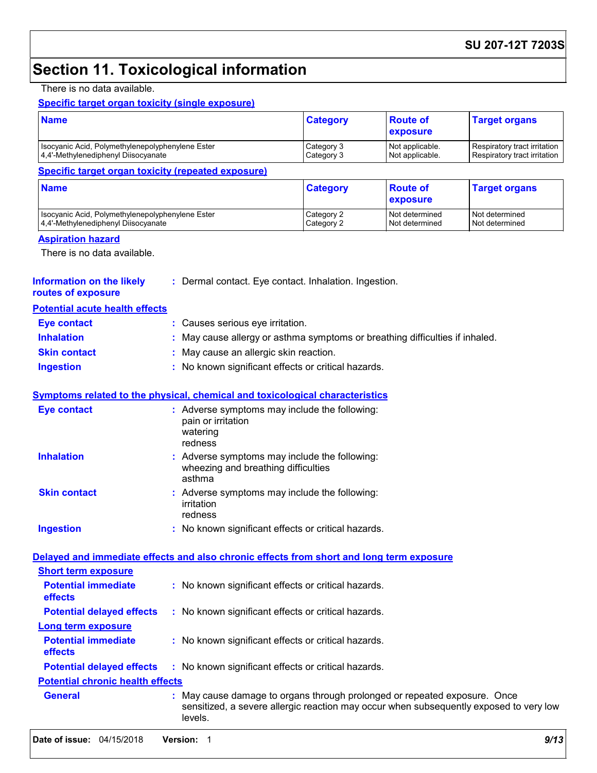# **Section 11. Toxicological information**

### There is no data available.

### **Specific target organ toxicity (single exposure)**

| <b>Name</b>                                                                              |                                                                                                                                                                              | <b>Category</b>                                                                      | <b>Route of</b><br>exposure                                  | <b>Target organs</b>             |  |  |  |
|------------------------------------------------------------------------------------------|------------------------------------------------------------------------------------------------------------------------------------------------------------------------------|--------------------------------------------------------------------------------------|--------------------------------------------------------------|----------------------------------|--|--|--|
| Isocyanic Acid, Polymethylenepolyphenylene Ester<br>4,4'-Methylenediphenyl Diisocyanate  | Category 3<br>Category 3                                                                                                                                                     | Not applicable.<br>Not applicable.                                                   | Respiratory tract irritation<br>Respiratory tract irritation |                                  |  |  |  |
| <b>Specific target organ toxicity (repeated exposure)</b>                                |                                                                                                                                                                              |                                                                                      |                                                              |                                  |  |  |  |
| <b>Name</b>                                                                              |                                                                                                                                                                              | <b>Category</b>                                                                      | <b>Route of</b><br>exposure                                  | <b>Target organs</b>             |  |  |  |
| Isocyanic Acid, Polymethylenepolyphenylene Ester<br>4,4'-Methylenediphenyl Diisocyanate  |                                                                                                                                                                              | Category 2<br>Category 2                                                             | Not determined<br>Not determined                             | Not determined<br>Not determined |  |  |  |
| <b>Aspiration hazard</b><br>There is no data available.                                  |                                                                                                                                                                              |                                                                                      |                                                              |                                  |  |  |  |
| <b>Information on the likely</b><br>routes of exposure                                   | : Dermal contact. Eye contact. Inhalation. Ingestion.                                                                                                                        |                                                                                      |                                                              |                                  |  |  |  |
| <b>Potential acute health effects</b>                                                    |                                                                                                                                                                              |                                                                                      |                                                              |                                  |  |  |  |
| <b>Eye contact</b>                                                                       | : Causes serious eye irritation.                                                                                                                                             |                                                                                      |                                                              |                                  |  |  |  |
| <b>Inhalation</b>                                                                        | May cause allergy or asthma symptoms or breathing difficulties if inhaled.                                                                                                   |                                                                                      |                                                              |                                  |  |  |  |
| <b>Skin contact</b>                                                                      | May cause an allergic skin reaction.                                                                                                                                         |                                                                                      |                                                              |                                  |  |  |  |
| <b>Ingestion</b>                                                                         | : No known significant effects or critical hazards.                                                                                                                          |                                                                                      |                                                              |                                  |  |  |  |
| <b>Symptoms related to the physical, chemical and toxicological characteristics</b>      |                                                                                                                                                                              |                                                                                      |                                                              |                                  |  |  |  |
| <b>Eye contact</b>                                                                       | : Adverse symptoms may include the following:<br>pain or irritation<br>watering<br>redness                                                                                   |                                                                                      |                                                              |                                  |  |  |  |
| <b>Inhalation</b>                                                                        | asthma                                                                                                                                                                       | : Adverse symptoms may include the following:<br>wheezing and breathing difficulties |                                                              |                                  |  |  |  |
| <b>Skin contact</b>                                                                      | : Adverse symptoms may include the following:<br>irritation<br>redness                                                                                                       |                                                                                      |                                                              |                                  |  |  |  |
| <b>Ingestion</b>                                                                         |                                                                                                                                                                              | : No known significant effects or critical hazards.                                  |                                                              |                                  |  |  |  |
| Delayed and immediate effects and also chronic effects from short and long term exposure |                                                                                                                                                                              |                                                                                      |                                                              |                                  |  |  |  |
| <b>Short term exposure</b>                                                               |                                                                                                                                                                              |                                                                                      |                                                              |                                  |  |  |  |
| <b>Potential immediate</b><br>effects                                                    | : No known significant effects or critical hazards.                                                                                                                          |                                                                                      |                                                              |                                  |  |  |  |
| <b>Potential delayed effects</b>                                                         | : No known significant effects or critical hazards.                                                                                                                          |                                                                                      |                                                              |                                  |  |  |  |
| Long term exposure                                                                       |                                                                                                                                                                              |                                                                                      |                                                              |                                  |  |  |  |
| <b>Potential immediate</b><br>effects                                                    | : No known significant effects or critical hazards.                                                                                                                          |                                                                                      |                                                              |                                  |  |  |  |
| <b>Potential delayed effects</b>                                                         | : No known significant effects or critical hazards.                                                                                                                          |                                                                                      |                                                              |                                  |  |  |  |
| <b>Potential chronic health effects</b>                                                  |                                                                                                                                                                              |                                                                                      |                                                              |                                  |  |  |  |
| <b>General</b>                                                                           | May cause damage to organs through prolonged or repeated exposure. Once<br>sensitized, a severe allergic reaction may occur when subsequently exposed to very low<br>levels. |                                                                                      |                                                              |                                  |  |  |  |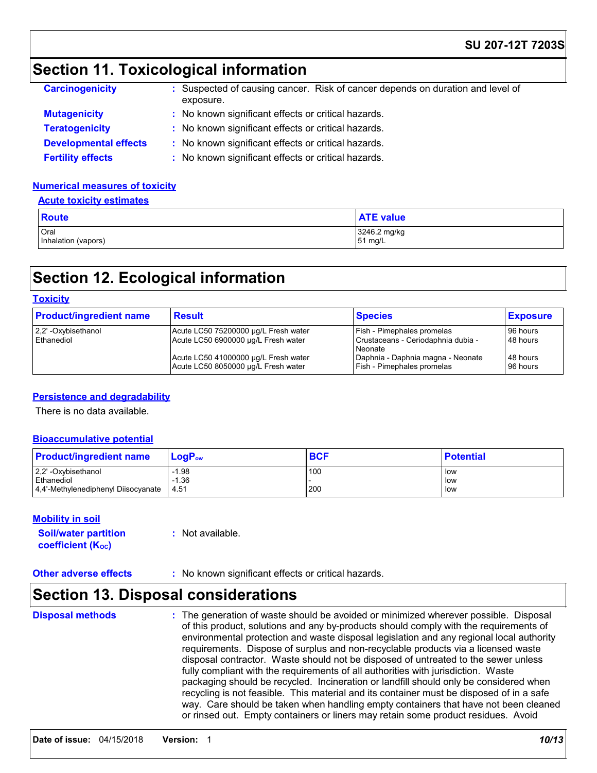### **SU 207-12T 7203S**

### **Section 11. Toxicological information**

| <b>Carcinogenicity</b>       | : Suspected of causing cancer. Risk of cancer depends on duration and level of<br>exposure. |  |
|------------------------------|---------------------------------------------------------------------------------------------|--|
| <b>Mutagenicity</b>          | : No known significant effects or critical hazards.                                         |  |
| <b>Teratogenicity</b>        | : No known significant effects or critical hazards.                                         |  |
| <b>Developmental effects</b> | : No known significant effects or critical hazards.                                         |  |
| <b>Fertility effects</b>     | : No known significant effects or critical hazards.                                         |  |

#### **Numerical measures of toxicity**

| <b>Acute toxicity estimates</b> |
|---------------------------------|
|---------------------------------|

| <b>Route</b>        | <b>ATE value</b> |
|---------------------|------------------|
| Oral                | 3246.2 mg/kg     |
| Inhalation (vapors) | 51 mg/L          |

### **Section 12. Ecological information**

#### **Toxicity**

| <b>Product/ingredient name</b>    | <b>Result</b>                                                               | <b>Species</b>                                                              | <b>Exposure</b>      |
|-----------------------------------|-----------------------------------------------------------------------------|-----------------------------------------------------------------------------|----------------------|
| 2,2' -Oxybisethanol<br>Ethanediol | Acute LC50 75200000 µg/L Fresh water<br>Acute LC50 6900000 µg/L Fresh water | Fish - Pimephales promelas<br>Crustaceans - Ceriodaphnia dubia -<br>Neonate | 96 hours<br>48 hours |
|                                   | Acute LC50 41000000 µg/L Fresh water<br>Acute LC50 8050000 µg/L Fresh water | Daphnia - Daphnia magna - Neonate<br>Fish - Pimephales promelas             | 48 hours<br>96 hours |

#### **Persistence and degradability**

There is no data available.

#### **Bioaccumulative potential**

| <b>Product/ingredient name</b>      | $LoaPow$ | <b>BCF</b> | <b>Potential</b> |
|-------------------------------------|----------|------------|------------------|
| 2,2' -Oxybisethanol                 | $-1.98$  | 100        | low              |
| Ethanediol                          | $-1.36$  |            | low              |
| 4.4'-Methylenediphenyl Diisocyanate | 4.51     | 200        | low              |

#### **Mobility in soil**

| <b>Soil/water partition</b> |  |
|-----------------------------|--|
| <b>coefficient (Koc)</b>    |  |

**:** Not available.

**Other adverse effects** : No known significant effects or critical hazards.

### **Section 13. Disposal considerations**

**Disposal methods :**

The generation of waste should be avoided or minimized wherever possible. Disposal of this product, solutions and any by-products should comply with the requirements of environmental protection and waste disposal legislation and any regional local authority requirements. Dispose of surplus and non-recyclable products via a licensed waste disposal contractor. Waste should not be disposed of untreated to the sewer unless fully compliant with the requirements of all authorities with jurisdiction. Waste packaging should be recycled. Incineration or landfill should only be considered when recycling is not feasible. This material and its container must be disposed of in a safe way. Care should be taken when handling empty containers that have not been cleaned or rinsed out. Empty containers or liners may retain some product residues. Avoid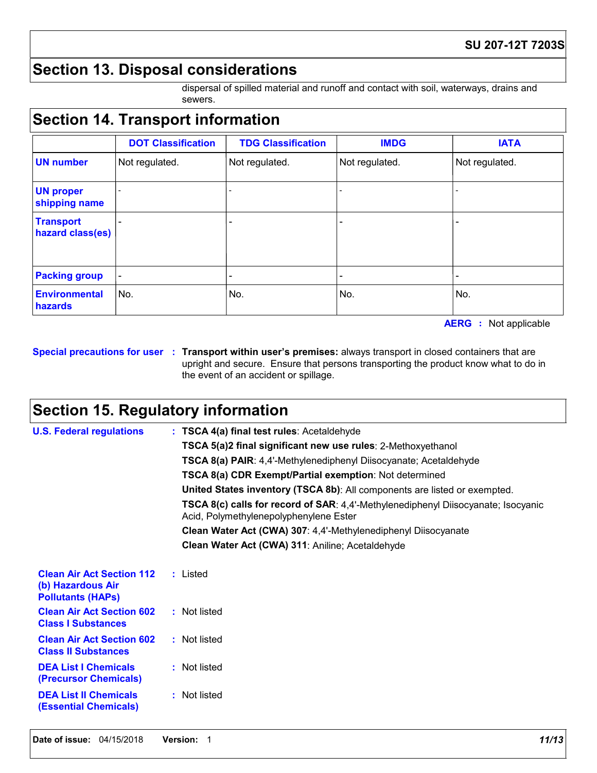### **Section 13. Disposal considerations**

dispersal of spilled material and runoff and contact with soil, waterways, drains and sewers.

# **Section 14. Transport information**

|                                      | <b>DOT Classification</b> | <b>TDG Classification</b> | <b>IMDG</b>    | <b>IATA</b>    |
|--------------------------------------|---------------------------|---------------------------|----------------|----------------|
| <b>UN number</b>                     | Not regulated.            | Not regulated.            | Not regulated. | Not regulated. |
| <b>UN proper</b><br>shipping name    |                           |                           |                |                |
| <b>Transport</b><br>hazard class(es) |                           |                           |                |                |
| <b>Packing group</b>                 | $\overline{\phantom{a}}$  |                           |                |                |
| <b>Environmental</b><br>hazards      | No.                       | No.                       | No.            | No.            |

**AERG :** Not applicable

**Special precautions for user Transport within user's premises:** always transport in closed containers that are **:** upright and secure. Ensure that persons transporting the product know what to do in the event of an accident or spillage.

### **Section 15. Regulatory information**

| <b>U.S. Federal regulations</b>                                                   | : TSCA 4(a) final test rules: Acetaldehyde                                                                                  |  |  |  |
|-----------------------------------------------------------------------------------|-----------------------------------------------------------------------------------------------------------------------------|--|--|--|
|                                                                                   | TSCA 5(a)2 final significant new use rules: 2-Methoxyethanol                                                                |  |  |  |
|                                                                                   | TSCA 8(a) PAIR: 4,4'-Methylenediphenyl Diisocyanate; Acetaldehyde                                                           |  |  |  |
|                                                                                   | <b>TSCA 8(a) CDR Exempt/Partial exemption: Not determined</b>                                                               |  |  |  |
|                                                                                   | United States inventory (TSCA 8b): All components are listed or exempted.                                                   |  |  |  |
|                                                                                   | TSCA 8(c) calls for record of SAR: 4,4'-Methylenediphenyl Diisocyanate; Isocyanic<br>Acid, Polymethylenepolyphenylene Ester |  |  |  |
|                                                                                   | Clean Water Act (CWA) 307: 4,4'-Methylenediphenyl Diisocyanate                                                              |  |  |  |
|                                                                                   | Clean Water Act (CWA) 311: Aniline; Acetaldehyde                                                                            |  |  |  |
|                                                                                   |                                                                                                                             |  |  |  |
| <b>Clean Air Act Section 112</b><br>(b) Hazardous Air<br><b>Pollutants (HAPS)</b> | : Listed                                                                                                                    |  |  |  |
| <b>Clean Air Act Section 602</b><br><b>Class I Substances</b>                     | : Not listed                                                                                                                |  |  |  |
| <b>Clean Air Act Section 602</b><br><b>Class II Substances</b>                    | : Not listed                                                                                                                |  |  |  |
| <b>DEA List I Chemicals</b><br>(Precursor Chemicals)                              | : Not listed                                                                                                                |  |  |  |
| <b>DEA List II Chemicals</b><br><b>(Essential Chemicals)</b>                      | : Not listed                                                                                                                |  |  |  |
|                                                                                   |                                                                                                                             |  |  |  |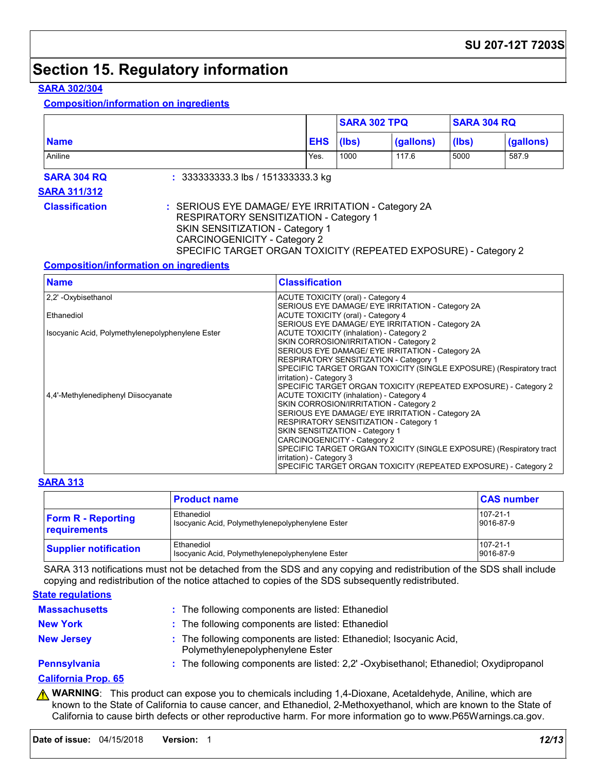### **Section 15. Regulatory information**

### **SARA 302/304**

**Composition/information on ingredients**

|                                                              |                                                                                                                                                                                                                                                  |                                                                      | <b>SARA 302 TPQ</b>                                                                                                                                                                                                                                                                                                |                                                                                            | <b>SARA 304 RQ</b> |                                                                 |
|--------------------------------------------------------------|--------------------------------------------------------------------------------------------------------------------------------------------------------------------------------------------------------------------------------------------------|----------------------------------------------------------------------|--------------------------------------------------------------------------------------------------------------------------------------------------------------------------------------------------------------------------------------------------------------------------------------------------------------------|--------------------------------------------------------------------------------------------|--------------------|-----------------------------------------------------------------|
| <b>Name</b>                                                  |                                                                                                                                                                                                                                                  | <b>EHS</b>                                                           | (lbs)                                                                                                                                                                                                                                                                                                              | (gallons)                                                                                  | (lbs)              | (gallons)                                                       |
| Aniline                                                      |                                                                                                                                                                                                                                                  | Yes.                                                                 | 1000                                                                                                                                                                                                                                                                                                               | 117.6                                                                                      | 5000               | 587.9                                                           |
| <b>SARA 304 RQ</b>                                           | : $333333333.3$ lbs / 151333333.3 kg                                                                                                                                                                                                             |                                                                      |                                                                                                                                                                                                                                                                                                                    |                                                                                            |                    |                                                                 |
| <b>SARA 311/312</b>                                          |                                                                                                                                                                                                                                                  |                                                                      |                                                                                                                                                                                                                                                                                                                    |                                                                                            |                    |                                                                 |
| <b>Classification</b>                                        | : SERIOUS EYE DAMAGE/ EYE IRRITATION - Category 2A<br><b>RESPIRATORY SENSITIZATION - Category 1</b><br>SKIN SENSITIZATION - Category 1<br><b>CARCINOGENICITY - Category 2</b><br>SPECIFIC TARGET ORGAN TOXICITY (REPEATED EXPOSURE) - Category 2 |                                                                      |                                                                                                                                                                                                                                                                                                                    |                                                                                            |                    |                                                                 |
| <b>Composition/information on ingredients</b><br><b>Name</b> |                                                                                                                                                                                                                                                  | <b>Classification</b>                                                |                                                                                                                                                                                                                                                                                                                    |                                                                                            |                    |                                                                 |
| 2,2' - Oxybisethanol                                         |                                                                                                                                                                                                                                                  | <b>ACUTE TOXICITY (oral) - Category 4</b>                            |                                                                                                                                                                                                                                                                                                                    | SERIOUS EYE DAMAGE/ EYE IRRITATION - Category 2A                                           |                    |                                                                 |
| Ethanediol                                                   |                                                                                                                                                                                                                                                  | <b>ACUTE TOXICITY (oral) - Category 4</b>                            |                                                                                                                                                                                                                                                                                                                    |                                                                                            |                    |                                                                 |
| Isocyanic Acid, Polymethylenepolyphenylene Ester             |                                                                                                                                                                                                                                                  |                                                                      | SERIOUS EYE DAMAGE/ EYE IRRITATION - Category 2A<br><b>ACUTE TOXICITY (inhalation) - Category 2</b><br>SKIN CORROSION/IRRITATION - Category 2<br>SERIOUS EYE DAMAGE/ EYE IRRITATION - Category 2A<br>RESPIRATORY SENSITIZATION - Category 1<br>SPECIFIC TARGET ORGAN TOXICITY (SINGLE EXPOSURE) (Respiratory tract |                                                                                            |                    |                                                                 |
| 4.4'-Methylenediphenyl Diisocyanate                          |                                                                                                                                                                                                                                                  | irritation) - Category 3<br>ACUTE TOXICITY (inhalation) - Category 4 |                                                                                                                                                                                                                                                                                                                    | SKIN CORROSION/IRRITATION - Category 2<br>SERIOUS EYE DAMAGE/ EYE IRRITATION - Category 2A |                    | SPECIFIC TARGET ORGAN TOXICITY (REPEATED EXPOSURE) - Category 2 |

## **SARA 313**

|                                           | <b>Product name</b>                                                   | <b>CAS number</b>     |
|-------------------------------------------|-----------------------------------------------------------------------|-----------------------|
| <b>Form R - Reporting</b><br>requirements | Ethanediol<br>Isocyanic Acid, Polymethylenepolyphenylene Ester        | 107-21-1<br>9016-87-9 |
| <b>Supplier notification</b>              | <b>Ethanediol</b><br>Isocyanic Acid, Polymethylenepolyphenylene Ester | 107-21-1<br>9016-87-9 |

irritation) - Category 3

RESPIRATORY SENSITIZATION - Category 1

SPECIFIC TARGET ORGAN TOXICITY (SINGLE EXPOSURE) (Respiratory tract

SPECIFIC TARGET ORGAN TOXICITY (REPEATED EXPOSURE) - Category 2

SKIN SENSITIZATION - Category 1 CARCINOGENICITY - Category 2

SARA 313 notifications must not be detached from the SDS and any copying and redistribution of the SDS shall include copying and redistribution of the notice attached to copies of the SDS subsequently redistributed.

| <b>State regulations</b> |                                                                                                        |
|--------------------------|--------------------------------------------------------------------------------------------------------|
| <b>Massachusetts</b>     | : The following components are listed: Ethanediol                                                      |
| <b>New York</b>          | : The following components are listed: Ethanediol                                                      |
| <b>New Jersey</b>        | : The following components are listed: Ethanediol; Isocyanic Acid,<br>Polymethylenepolyphenylene Ester |
| Pennsylvania             | : The following components are listed: 2,2' -Oxybisethanol; Ethanediol; Oxydipropanol                  |
| California Duais, CE     |                                                                                                        |

#### **California Prop. 65**

**A WARNING**: This product can expose you to chemicals including 1,4-Dioxane, Acetaldehyde, Aniline, which are known to the State of California to cause cancer, and Ethanediol, 2-Methoxyethanol, which are known to the State of California to cause birth defects or other reproductive harm. For more information go to www.P65Warnings.ca.gov.